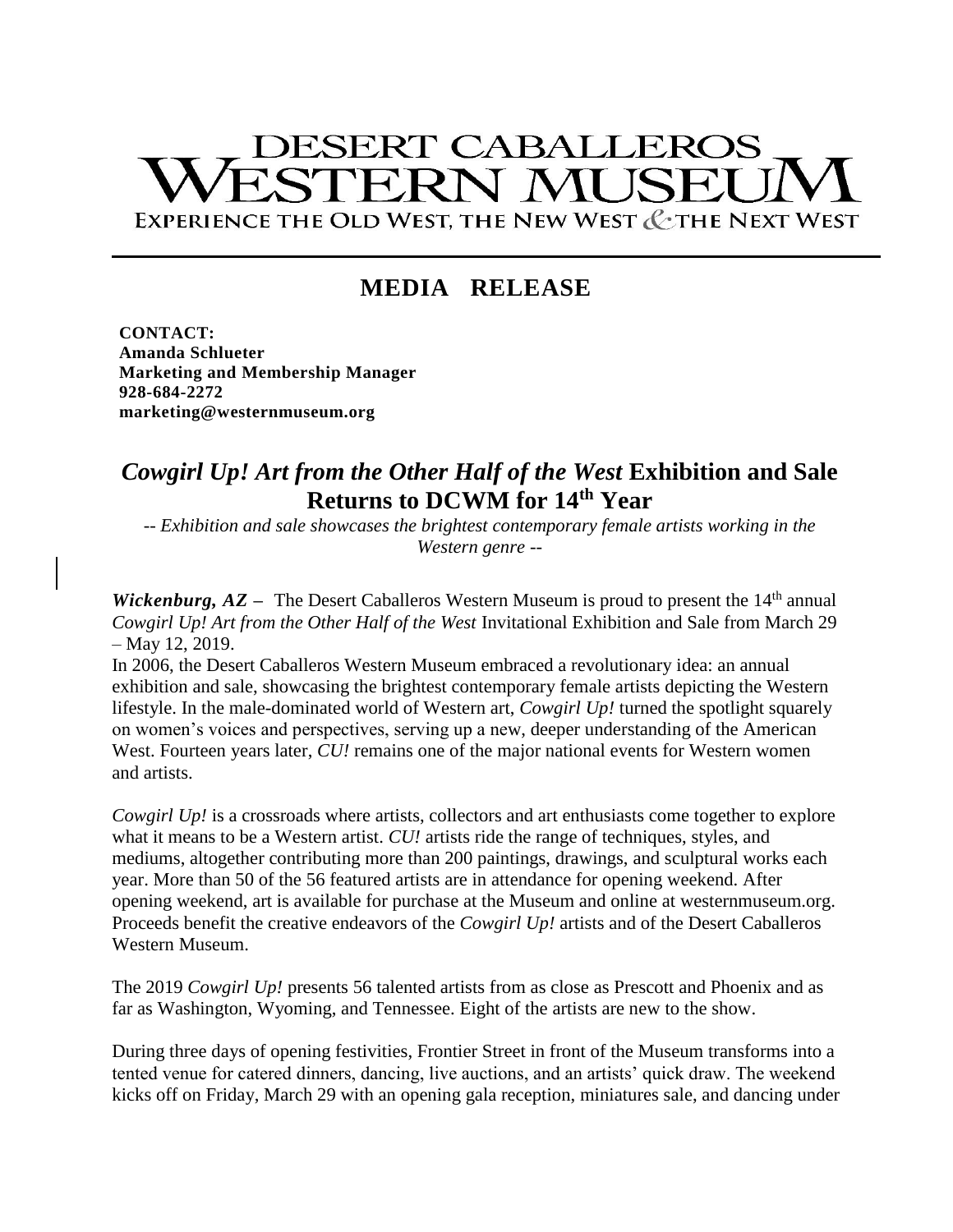# **DESERT CABALLEROS** STERN MI K EXPERIENCE THE OLD WEST, THE NEW WEST & THE NEXT WEST

## **MEDIA RELEASE**

**CONTACT: Amanda Schlueter Marketing and Membership Manager 928-684-2272 marketing@westernmuseum.org**

### *Cowgirl Up! Art from the Other Half of the West* **Exhibition and Sale Returns to DCWM for 14th Year**

*-- Exhibition and sale showcases the brightest contemporary female artists working in the Western genre --*

*Wickenburg,*  $AZ -$  The Desert Caballeros Western Museum is proud to present the  $14<sup>th</sup>$  annual *Cowgirl Up! Art from the Other Half of the West* Invitational Exhibition and Sale from March 29 – May 12, 2019.

In 2006, the Desert Caballeros Western Museum embraced a revolutionary idea: an annual exhibition and sale, showcasing the brightest contemporary female artists depicting the Western lifestyle. In the male-dominated world of Western art, *Cowgirl Up!* turned the spotlight squarely on women's voices and perspectives, serving up a new, deeper understanding of the American West. Fourteen years later, *CU!* remains one of the major national events for Western women and artists.

*Cowgirl Up!* is a crossroads where artists, collectors and art enthusiasts come together to explore what it means to be a Western artist. *CU!* artists ride the range of techniques, styles, and mediums, altogether contributing more than 200 paintings, drawings, and sculptural works each year. More than 50 of the 56 featured artists are in attendance for opening weekend. After opening weekend, art is available for purchase at the Museum and online at westernmuseum.org. Proceeds benefit the creative endeavors of the *Cowgirl Up!* artists and of the Desert Caballeros Western Museum.

The 2019 *Cowgirl Up!* presents 56 talented artists from as close as Prescott and Phoenix and as far as Washington, Wyoming, and Tennessee. Eight of the artists are new to the show.

During three days of opening festivities, Frontier Street in front of the Museum transforms into a tented venue for catered dinners, dancing, live auctions, and an artists' quick draw. The weekend kicks off on Friday, March 29 with an opening gala reception, miniatures sale, and dancing under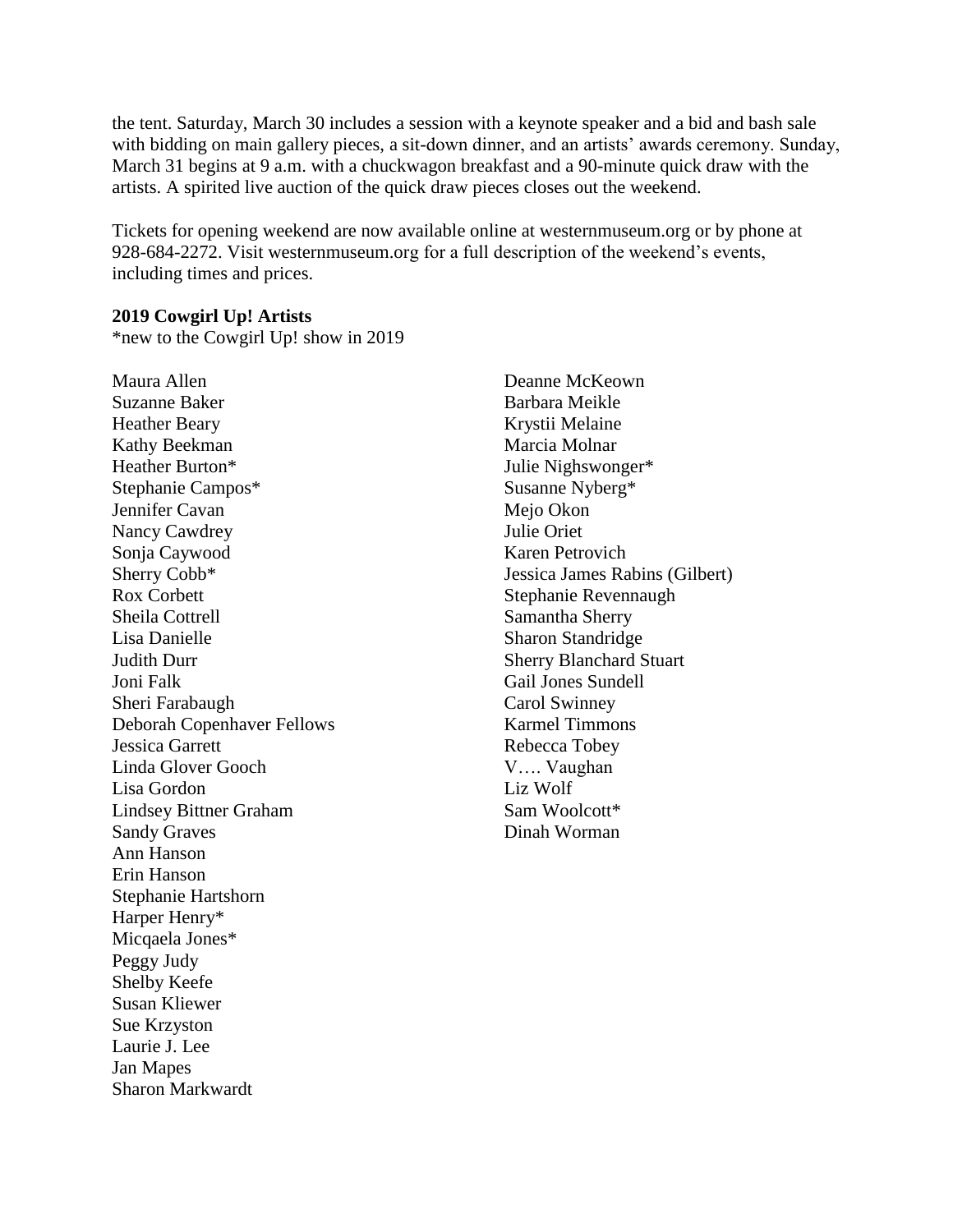the tent. Saturday, March 30 includes a session with a keynote speaker and a bid and bash sale with bidding on main gallery pieces, a sit-down dinner, and an artists' awards ceremony. Sunday, March 31 begins at 9 a.m. with a chuckwagon breakfast and a 90-minute quick draw with the artists. A spirited live auction of the quick draw pieces closes out the weekend.

Tickets for opening weekend are now available online at westernmuseum.org or by phone at 928-684-2272. Visit westernmuseum.org for a full description of the weekend's events, including times and prices.

#### **2019 Cowgirl Up! Artists**

\*new to the Cowgirl Up! show in 2019

Maura Allen Suzanne Baker Heather Beary Kathy Beekman Heather Burton\* Stephanie Campos\* Jennifer Cavan Nancy Cawdrey Sonja Caywood Sherry Cobb\* Rox Corbett Sheila Cottrell Lisa Danielle Judith Durr Joni Falk Sheri Farabaugh Deborah Copenhaver Fellows Jessica Garrett Linda Glover Gooch Lisa Gordon Lindsey Bittner Graham Sandy Graves Ann Hanson Erin Hanson Stephanie Hartshorn Harper Henry\* Micqaela Jones\* Peggy Judy Shelby Keefe Susan Kliewer Sue Krzyston Laurie J. Lee Jan Mapes Sharon Markwardt

Deanne McKeown Barbara Meikle Krystii Melaine Marcia Molnar Julie Nighswonger\* Susanne Nyberg\* Mejo Okon Julie Oriet Karen Petrovich Jessica James Rabins (Gilbert) Stephanie Revennaugh Samantha Sherry Sharon Standridge Sherry Blanchard Stuart Gail Jones Sundell Carol Swinney Karmel Timmons Rebecca Tobey V…. Vaughan Liz Wolf Sam Woolcott\* Dinah Worman